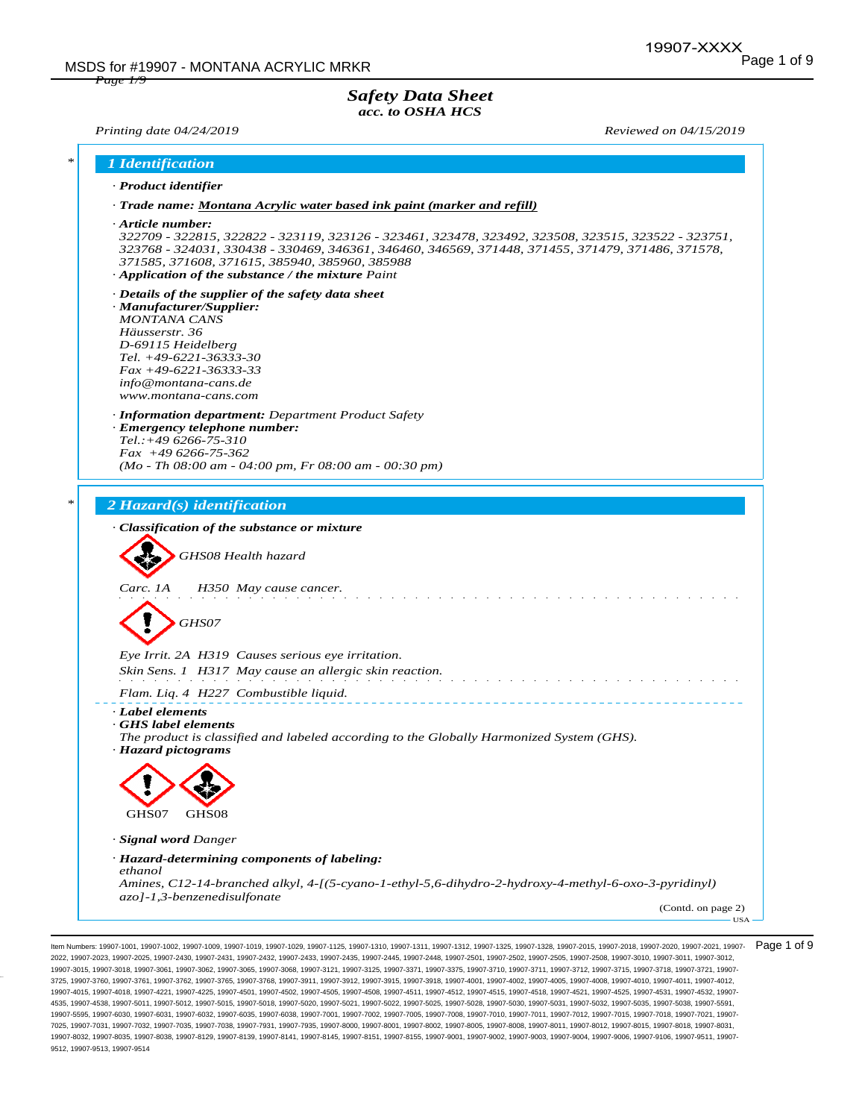### *Safety Data Sheet acc. to OSHA HCS*

*Page 1/9*

*Printing date 04/24/2019 Reviewed on 04/15/2019*

| $\ast$ | 1 Identification                                                                                                                                                                                                                                                                                                                                  |
|--------|---------------------------------------------------------------------------------------------------------------------------------------------------------------------------------------------------------------------------------------------------------------------------------------------------------------------------------------------------|
|        | · Product identifier                                                                                                                                                                                                                                                                                                                              |
|        | · Trade name: Montana Acrylic water based ink paint (marker and refill)                                                                                                                                                                                                                                                                           |
|        | $\cdot$ Article number:<br>322709 - 322815, 322822 - 323119, 323126 - 323461, 323478, 323492, 323508, 323515, 323522 - 323751,<br>323768 - 324031, 330438 - 330469, 346361, 346460, 346569, 371448, 371455, 371479, 371486, 371578,<br>371585, 371608, 371615, 385940, 385960, 385988<br>$\cdot$ Application of the substance / the mixture Paint |
|        | $\cdot$ Details of the supplier of the safety data sheet<br>· Manufacturer/Supplier:<br><b>MONTANA CANS</b><br>Häusserstr. 36<br>D-69115 Heidelberg<br>Tel. +49-6221-36333-30<br>$Fax + 49-6221-36333-33$<br>info@montana-cans.de<br>www.montana-cans.com                                                                                         |
|        | · <b>Information department:</b> Department Product Safety<br>· Emergency telephone number:<br>$Tel.:+496266-75-310$<br>$Fax +496266-75-362$<br>$(Mo - Th 08:00 am - 04:00 pm, Fr 08:00 am - 00:30 pm)$                                                                                                                                           |
| $\ast$ | 2 Hazard(s) identification                                                                                                                                                                                                                                                                                                                        |
|        | · Classification of the substance or mixture<br>GHS08 Health hazard<br>Carc. 1A<br>H350 May cause cancer.<br>GHS07                                                                                                                                                                                                                                |
|        | Eye Irrit. 2A H319 Causes serious eye irritation.<br>Skin Sens. 1 H317 May cause an allergic skin reaction.                                                                                                                                                                                                                                       |
|        | Flam. Liq. 4 H227 Combustible liquid.                                                                                                                                                                                                                                                                                                             |
|        | · Label elements<br>GHS label elements<br>The product is classified and labeled according to the Globally Harmonized System (GHS).<br>· Hazard pictograms                                                                                                                                                                                         |
|        | GHS07<br>GHS08                                                                                                                                                                                                                                                                                                                                    |
|        |                                                                                                                                                                                                                                                                                                                                                   |
|        | · Signal word Danger<br>· Hazard-determining components of labeling:                                                                                                                                                                                                                                                                              |
|        | ethanol<br>Amines, C12-14-branched alkyl, 4-[(5-cyano-1-ethyl-5,6-dihydro-2-hydroxy-4-methyl-6-oxo-3-pyridinyl)<br>azo]-1,3-benzenedisulfonate<br>(Contd. on page 2)<br><b>USA</b>                                                                                                                                                                |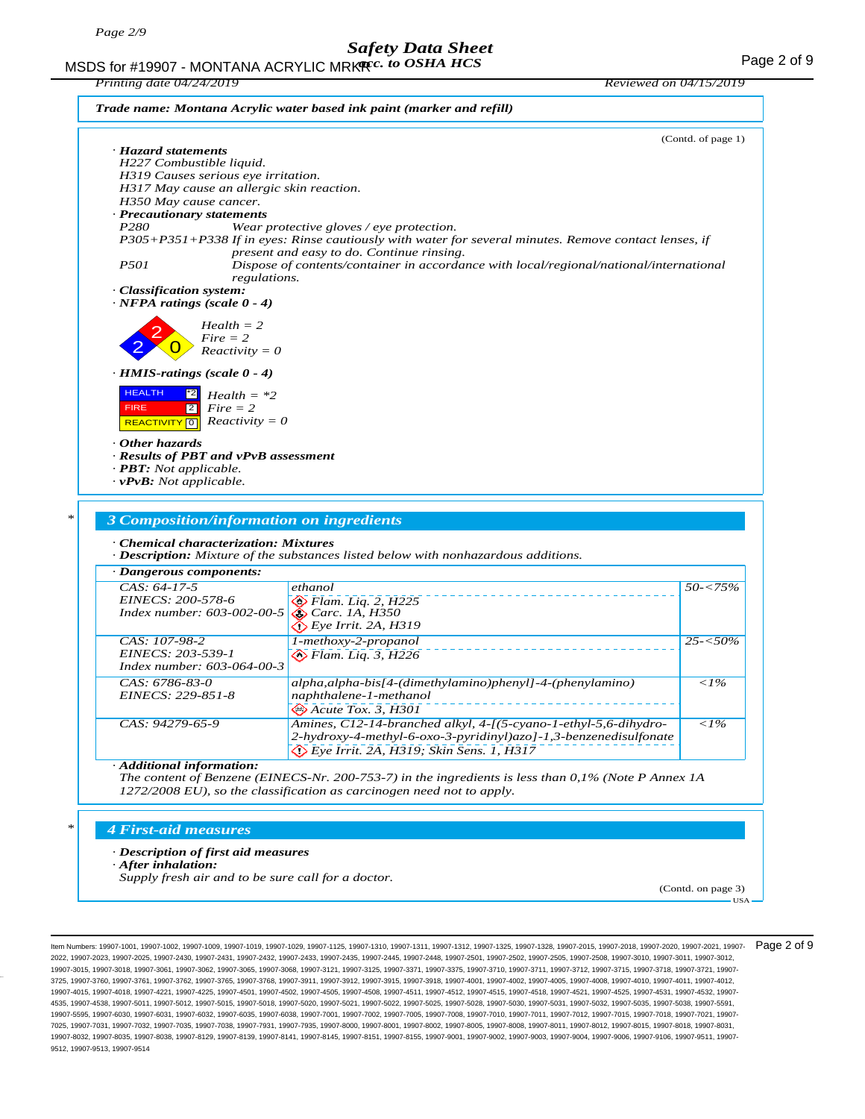MSDS for #19907 - MONTANA ACRYLIC MRK**R**<sub>c</sub>. to OSHA HCS **Access 19** MSDS for #19907 - MONTANA ACRYLIC MRKR *acc. to OSHA HCS* 

| H227 Combustible liquid.<br>H319 Causes serious eye irritation.<br>H317 May cause an allergic skin reaction.<br>H350 May cause cancer.<br>· Precautionary statements<br>P280<br>Wear protective gloves / eye protection.<br>P305+P351+P338 If in eyes: Rinse cautiously with water for several minutes. Remove contact lenses, if<br>present and easy to do. Continue rinsing.<br>P <sub>501</sub><br>Dispose of contents/container in accordance with local/regional/national/international<br>regulations.<br>· Classification system:<br>$\cdot$ NFPA ratings (scale 0 - 4)<br>$Health = 2$<br>$Fire = 2$<br>$Reactivity = 0$<br>$\cdot$ HMIS-ratings (scale 0 - 4)<br><b>HEALTH</b><br>$ 2^*2 $<br>$Health = *2$<br> 2 <br>$Fire = 2$<br><b>FIRE</b><br>$Reactivity = 0$<br><b>REACTIVITY</b> 0<br>· Results of PBT and vPvB assessment<br>· PBT: Not applicable.<br>$\cdot$ vPvB: Not applicable.<br>3 Composition/information on ingredients<br>· Chemical characterization: Mixtures<br>· Description: Mixture of the substances listed below with nonhazardous additions.<br>ethanol<br>$\otimes$ Flam. Lig. 2, H225<br>Index number: 603-002-00-5<br><b>&amp; Carc.</b> 1A, H350<br>$\bigotimes$ Eye Irrit. 2A, H319<br>1-methoxy-2-propanol<br>$\diamondsuit$ Flam. Lig. 3, H226<br>Index number: 603-064-00-3<br>alpha, alpha-bis[4-(dimethylamino)phenyl]-4-(phenylamino)<br>naphthalene-1-methanol<br>$\otimes$ Acute Tox. 3, H301<br>CAS: 94279-65-9<br>Amines, C12-14-branched alkyl, 4-[(5-cyano-1-ethyl-5,6-dihydro-<br>${<}1\%$ |                               | (Contd. of page 1) |
|---------------------------------------------------------------------------------------------------------------------------------------------------------------------------------------------------------------------------------------------------------------------------------------------------------------------------------------------------------------------------------------------------------------------------------------------------------------------------------------------------------------------------------------------------------------------------------------------------------------------------------------------------------------------------------------------------------------------------------------------------------------------------------------------------------------------------------------------------------------------------------------------------------------------------------------------------------------------------------------------------------------------------------------------------------------------------------------------------------------------------------------------------------------------------------------------------------------------------------------------------------------------------------------------------------------------------------------------------------------------------------------------------------------------------------------------------------------------------------------------------------------------------------------------------|-------------------------------|--------------------|
|                                                                                                                                                                                                                                                                                                                                                                                                                                                                                                                                                                                                                                                                                                                                                                                                                                                                                                                                                                                                                                                                                                                                                                                                                                                                                                                                                                                                                                                                                                                                                   | · Hazard statements           |                    |
|                                                                                                                                                                                                                                                                                                                                                                                                                                                                                                                                                                                                                                                                                                                                                                                                                                                                                                                                                                                                                                                                                                                                                                                                                                                                                                                                                                                                                                                                                                                                                   |                               |                    |
|                                                                                                                                                                                                                                                                                                                                                                                                                                                                                                                                                                                                                                                                                                                                                                                                                                                                                                                                                                                                                                                                                                                                                                                                                                                                                                                                                                                                                                                                                                                                                   |                               |                    |
|                                                                                                                                                                                                                                                                                                                                                                                                                                                                                                                                                                                                                                                                                                                                                                                                                                                                                                                                                                                                                                                                                                                                                                                                                                                                                                                                                                                                                                                                                                                                                   |                               |                    |
|                                                                                                                                                                                                                                                                                                                                                                                                                                                                                                                                                                                                                                                                                                                                                                                                                                                                                                                                                                                                                                                                                                                                                                                                                                                                                                                                                                                                                                                                                                                                                   |                               |                    |
|                                                                                                                                                                                                                                                                                                                                                                                                                                                                                                                                                                                                                                                                                                                                                                                                                                                                                                                                                                                                                                                                                                                                                                                                                                                                                                                                                                                                                                                                                                                                                   |                               |                    |
|                                                                                                                                                                                                                                                                                                                                                                                                                                                                                                                                                                                                                                                                                                                                                                                                                                                                                                                                                                                                                                                                                                                                                                                                                                                                                                                                                                                                                                                                                                                                                   |                               |                    |
|                                                                                                                                                                                                                                                                                                                                                                                                                                                                                                                                                                                                                                                                                                                                                                                                                                                                                                                                                                                                                                                                                                                                                                                                                                                                                                                                                                                                                                                                                                                                                   |                               |                    |
|                                                                                                                                                                                                                                                                                                                                                                                                                                                                                                                                                                                                                                                                                                                                                                                                                                                                                                                                                                                                                                                                                                                                                                                                                                                                                                                                                                                                                                                                                                                                                   |                               |                    |
|                                                                                                                                                                                                                                                                                                                                                                                                                                                                                                                                                                                                                                                                                                                                                                                                                                                                                                                                                                                                                                                                                                                                                                                                                                                                                                                                                                                                                                                                                                                                                   |                               |                    |
|                                                                                                                                                                                                                                                                                                                                                                                                                                                                                                                                                                                                                                                                                                                                                                                                                                                                                                                                                                                                                                                                                                                                                                                                                                                                                                                                                                                                                                                                                                                                                   |                               |                    |
|                                                                                                                                                                                                                                                                                                                                                                                                                                                                                                                                                                                                                                                                                                                                                                                                                                                                                                                                                                                                                                                                                                                                                                                                                                                                                                                                                                                                                                                                                                                                                   |                               |                    |
|                                                                                                                                                                                                                                                                                                                                                                                                                                                                                                                                                                                                                                                                                                                                                                                                                                                                                                                                                                                                                                                                                                                                                                                                                                                                                                                                                                                                                                                                                                                                                   |                               |                    |
|                                                                                                                                                                                                                                                                                                                                                                                                                                                                                                                                                                                                                                                                                                                                                                                                                                                                                                                                                                                                                                                                                                                                                                                                                                                                                                                                                                                                                                                                                                                                                   |                               |                    |
|                                                                                                                                                                                                                                                                                                                                                                                                                                                                                                                                                                                                                                                                                                                                                                                                                                                                                                                                                                                                                                                                                                                                                                                                                                                                                                                                                                                                                                                                                                                                                   |                               |                    |
|                                                                                                                                                                                                                                                                                                                                                                                                                                                                                                                                                                                                                                                                                                                                                                                                                                                                                                                                                                                                                                                                                                                                                                                                                                                                                                                                                                                                                                                                                                                                                   |                               |                    |
|                                                                                                                                                                                                                                                                                                                                                                                                                                                                                                                                                                                                                                                                                                                                                                                                                                                                                                                                                                                                                                                                                                                                                                                                                                                                                                                                                                                                                                                                                                                                                   |                               |                    |
|                                                                                                                                                                                                                                                                                                                                                                                                                                                                                                                                                                                                                                                                                                                                                                                                                                                                                                                                                                                                                                                                                                                                                                                                                                                                                                                                                                                                                                                                                                                                                   |                               |                    |
|                                                                                                                                                                                                                                                                                                                                                                                                                                                                                                                                                                                                                                                                                                                                                                                                                                                                                                                                                                                                                                                                                                                                                                                                                                                                                                                                                                                                                                                                                                                                                   |                               |                    |
|                                                                                                                                                                                                                                                                                                                                                                                                                                                                                                                                                                                                                                                                                                                                                                                                                                                                                                                                                                                                                                                                                                                                                                                                                                                                                                                                                                                                                                                                                                                                                   |                               |                    |
|                                                                                                                                                                                                                                                                                                                                                                                                                                                                                                                                                                                                                                                                                                                                                                                                                                                                                                                                                                                                                                                                                                                                                                                                                                                                                                                                                                                                                                                                                                                                                   |                               |                    |
|                                                                                                                                                                                                                                                                                                                                                                                                                                                                                                                                                                                                                                                                                                                                                                                                                                                                                                                                                                                                                                                                                                                                                                                                                                                                                                                                                                                                                                                                                                                                                   |                               |                    |
|                                                                                                                                                                                                                                                                                                                                                                                                                                                                                                                                                                                                                                                                                                                                                                                                                                                                                                                                                                                                                                                                                                                                                                                                                                                                                                                                                                                                                                                                                                                                                   | Other hazards                 |                    |
|                                                                                                                                                                                                                                                                                                                                                                                                                                                                                                                                                                                                                                                                                                                                                                                                                                                                                                                                                                                                                                                                                                                                                                                                                                                                                                                                                                                                                                                                                                                                                   |                               |                    |
|                                                                                                                                                                                                                                                                                                                                                                                                                                                                                                                                                                                                                                                                                                                                                                                                                                                                                                                                                                                                                                                                                                                                                                                                                                                                                                                                                                                                                                                                                                                                                   |                               |                    |
|                                                                                                                                                                                                                                                                                                                                                                                                                                                                                                                                                                                                                                                                                                                                                                                                                                                                                                                                                                                                                                                                                                                                                                                                                                                                                                                                                                                                                                                                                                                                                   |                               |                    |
|                                                                                                                                                                                                                                                                                                                                                                                                                                                                                                                                                                                                                                                                                                                                                                                                                                                                                                                                                                                                                                                                                                                                                                                                                                                                                                                                                                                                                                                                                                                                                   |                               |                    |
|                                                                                                                                                                                                                                                                                                                                                                                                                                                                                                                                                                                                                                                                                                                                                                                                                                                                                                                                                                                                                                                                                                                                                                                                                                                                                                                                                                                                                                                                                                                                                   |                               |                    |
|                                                                                                                                                                                                                                                                                                                                                                                                                                                                                                                                                                                                                                                                                                                                                                                                                                                                                                                                                                                                                                                                                                                                                                                                                                                                                                                                                                                                                                                                                                                                                   |                               |                    |
|                                                                                                                                                                                                                                                                                                                                                                                                                                                                                                                                                                                                                                                                                                                                                                                                                                                                                                                                                                                                                                                                                                                                                                                                                                                                                                                                                                                                                                                                                                                                                   |                               |                    |
|                                                                                                                                                                                                                                                                                                                                                                                                                                                                                                                                                                                                                                                                                                                                                                                                                                                                                                                                                                                                                                                                                                                                                                                                                                                                                                                                                                                                                                                                                                                                                   |                               |                    |
|                                                                                                                                                                                                                                                                                                                                                                                                                                                                                                                                                                                                                                                                                                                                                                                                                                                                                                                                                                                                                                                                                                                                                                                                                                                                                                                                                                                                                                                                                                                                                   |                               |                    |
|                                                                                                                                                                                                                                                                                                                                                                                                                                                                                                                                                                                                                                                                                                                                                                                                                                                                                                                                                                                                                                                                                                                                                                                                                                                                                                                                                                                                                                                                                                                                                   |                               |                    |
|                                                                                                                                                                                                                                                                                                                                                                                                                                                                                                                                                                                                                                                                                                                                                                                                                                                                                                                                                                                                                                                                                                                                                                                                                                                                                                                                                                                                                                                                                                                                                   | $\cdot$ Dangerous components: |                    |
|                                                                                                                                                                                                                                                                                                                                                                                                                                                                                                                                                                                                                                                                                                                                                                                                                                                                                                                                                                                                                                                                                                                                                                                                                                                                                                                                                                                                                                                                                                                                                   | $CAS: 64-17-5$                | $50 - 75\%$        |
|                                                                                                                                                                                                                                                                                                                                                                                                                                                                                                                                                                                                                                                                                                                                                                                                                                                                                                                                                                                                                                                                                                                                                                                                                                                                                                                                                                                                                                                                                                                                                   | EINECS: 200-578-6             |                    |
|                                                                                                                                                                                                                                                                                                                                                                                                                                                                                                                                                                                                                                                                                                                                                                                                                                                                                                                                                                                                                                                                                                                                                                                                                                                                                                                                                                                                                                                                                                                                                   |                               |                    |
|                                                                                                                                                                                                                                                                                                                                                                                                                                                                                                                                                                                                                                                                                                                                                                                                                                                                                                                                                                                                                                                                                                                                                                                                                                                                                                                                                                                                                                                                                                                                                   |                               |                    |
|                                                                                                                                                                                                                                                                                                                                                                                                                                                                                                                                                                                                                                                                                                                                                                                                                                                                                                                                                                                                                                                                                                                                                                                                                                                                                                                                                                                                                                                                                                                                                   | CAS: 107-98-2                 |                    |
|                                                                                                                                                                                                                                                                                                                                                                                                                                                                                                                                                                                                                                                                                                                                                                                                                                                                                                                                                                                                                                                                                                                                                                                                                                                                                                                                                                                                                                                                                                                                                   | EINECS: 203-539-1             |                    |
|                                                                                                                                                                                                                                                                                                                                                                                                                                                                                                                                                                                                                                                                                                                                                                                                                                                                                                                                                                                                                                                                                                                                                                                                                                                                                                                                                                                                                                                                                                                                                   |                               |                    |
|                                                                                                                                                                                                                                                                                                                                                                                                                                                                                                                                                                                                                                                                                                                                                                                                                                                                                                                                                                                                                                                                                                                                                                                                                                                                                                                                                                                                                                                                                                                                                   |                               | $25 - 50\%$        |
|                                                                                                                                                                                                                                                                                                                                                                                                                                                                                                                                                                                                                                                                                                                                                                                                                                                                                                                                                                                                                                                                                                                                                                                                                                                                                                                                                                                                                                                                                                                                                   | CAS: 6786-83-0                | $\langle$ 1%       |
|                                                                                                                                                                                                                                                                                                                                                                                                                                                                                                                                                                                                                                                                                                                                                                                                                                                                                                                                                                                                                                                                                                                                                                                                                                                                                                                                                                                                                                                                                                                                                   | EINECS: 229-851-8             |                    |

#### *· Additional information:*

*The content of Benzene (EINECS-Nr. 200-753-7) in the ingredients is less than 0,1% (Note P Annex 1A 1272/2008 EU), so the classification as carcinogen need not to apply.*

 *Eye Irrit. 2A, H319; Skin Sens. 1, H317*

*2-hydroxy-4-methyl-6-oxo-3-pyridinyl)azo]-1,3-benzenedisulfonate*

#### *\* 4 First-aid measures*

#### *· Description of first aid measures*

*· After inhalation:*

*Supply fresh air and to be sure call for a doctor.*

(Contd. on page 3) USA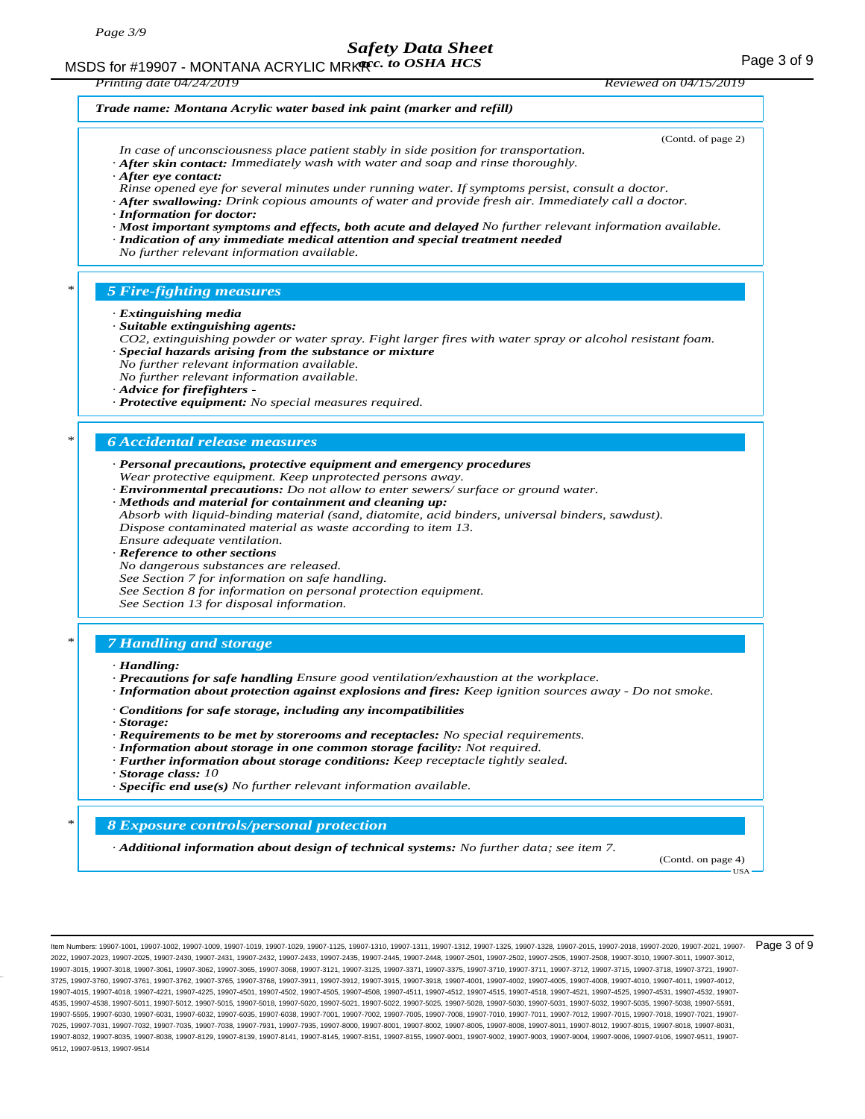MSDS for #19907 - MONTANA ACRYLIC MRK**R**<sub>c</sub>. to OSHA HCS **Access 19** MSDS for #19907 - MONTANA ACRYLIC MRKR *acc. to OSHA HCS* 

*Printing date 04/24/2019 Reviewed on 04/15/2019 Trade name: Montana Acrylic water based ink paint (marker and refill)* (Contd. of page 2) *In case of unconsciousness place patient stably in side position for transportation. · After skin contact: Immediately wash with water and soap and rinse thoroughly. · After eye contact: Rinse opened eye for several minutes under running water. If symptoms persist, consult a doctor. · After swallowing: Drink copious amounts of water and provide fresh air. Immediately call a doctor. · Information for doctor: · Most important symptoms and effects, both acute and delayed No further relevant information available. · Indication of any immediate medical attention and special treatment needed No further relevant information available. \* 5 Fire-fighting measures · Extinguishing media · Suitable extinguishing agents: CO2, extinguishing powder or water spray. Fight larger fires with water spray or alcohol resistant foam. · Special hazards arising from the substance or mixture No further relevant information available. No further relevant information available. · Advice for firefighters - · Protective equipment: No special measures required. \* 6 Accidental release measures · Personal precautions, protective equipment and emergency procedures Wear protective equipment. Keep unprotected persons away. · Environmental precautions: Do not allow to enter sewers/ surface or ground water. · Methods and material for containment and cleaning up: Absorb with liquid-binding material (sand, diatomite, acid binders, universal binders, sawdust). Dispose contaminated material as waste according to item 13. Ensure adequate ventilation. · Reference to other sections No dangerous substances are released. See Section 7 for information on safe handling. See Section 8 for information on personal protection equipment. See Section 13 for disposal information. \* 7 Handling and storage · Handling: · Precautions for safe handling Ensure good ventilation/exhaustion at the workplace. · Information about protection against explosions and fires: Keep ignition sources away - Do not smoke. · Conditions for safe storage, including any incompatibilities · Storage: · Requirements to be met by storerooms and receptacles: No special requirements. · Information about storage in one common storage facility: Not required. · Further information about storage conditions: Keep receptacle tightly sealed. · Storage class: 10 · Specific end use(s) No further relevant information available. \* 8 Exposure controls/personal protection · Additional information about design of technical systems: No further data; see item 7.* (Contd. on page 4) USA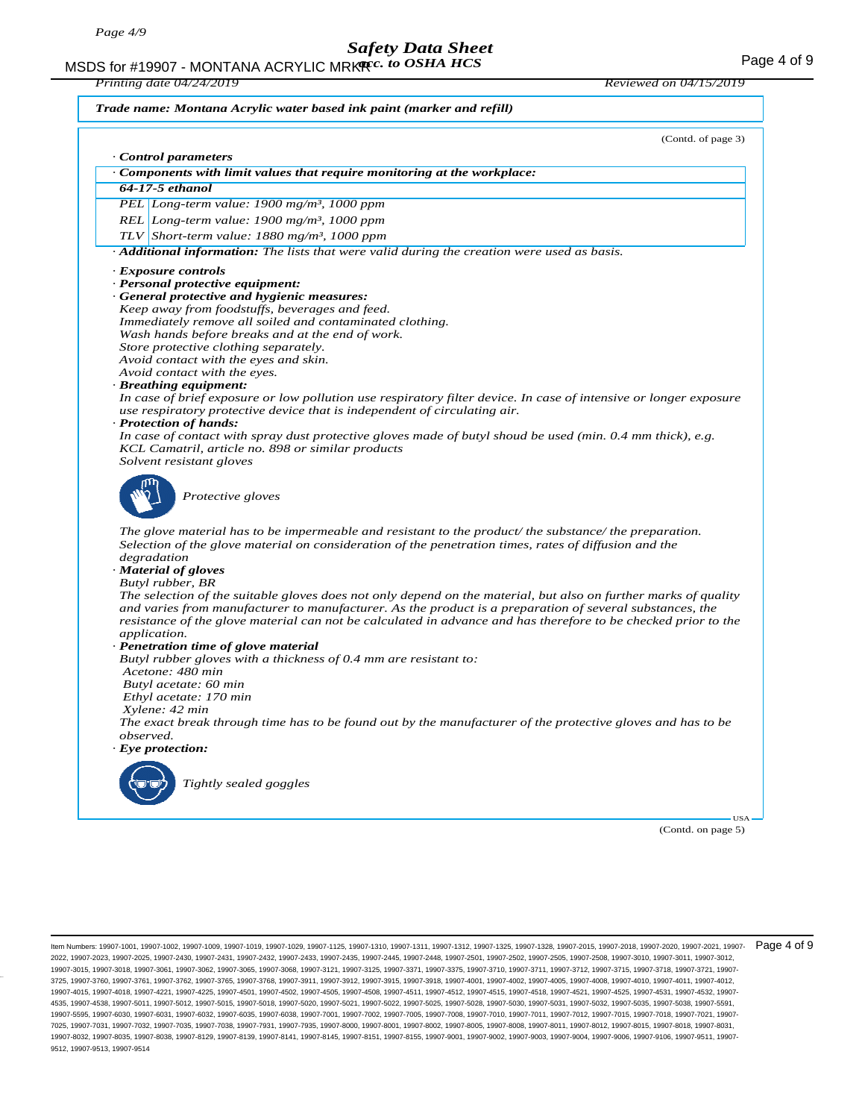MSDS for #19907 - MONTANA ACRYLIC MRK**R**<sub>cc</sub>. to OSHA HCS **Acceleration of the CALC MEAN** Page 4 of 9

*Printing date 04/24/2019 Reviewed on 04/15/2019*

*Trade name: Montana Acrylic water based ink paint (marker and refill)*

(Contd. of page 3) *· Control parameters · Components with limit values that require monitoring at the workplace: 64-17-5 ethanol PEL Long-term value: 1900 mg/m³, 1000 ppm REL Long-term value: 1900 mg/m³, 1000 ppm TLV Short-term value: 1880 mg/m³, 1000 ppm · Additional information: The lists that were valid during the creation were used as basis. · Exposure controls · Personal protective equipment: · General protective and hygienic measures: Keep away from foodstuffs, beverages and feed. Immediately remove all soiled and contaminated clothing. Wash hands before breaks and at the end of work. Store protective clothing separately. Avoid contact with the eyes and skin. Avoid contact with the eyes. · Breathing equipment: In case of brief exposure or low pollution use respiratory filter device. In case of intensive or longer exposure use respiratory protective device that is independent of circulating air. · Protection of hands: In case of contact with spray dust protective gloves made of butyl shoud be used (min. 0.4 mm thick), e.g. KCL Camatril, article no. 898 or similar products Solvent resistant gloves Protective gloves The glove material has to be impermeable and resistant to the product/ the substance/ the preparation. Selection of the glove material on consideration of the penetration times, rates of diffusion and the degradation · Material of gloves Butyl rubber, BR The selection of the suitable gloves does not only depend on the material, but also on further marks of quality and varies from manufacturer to manufacturer. As the product is a preparation of several substances, the resistance of the glove material can not be calculated in advance and has therefore to be checked prior to the application. · Penetration time of glove material Butyl rubber gloves with a thickness of 0.4 mm are resistant to: Acetone: 480 min Butyl acetate: 60 min Ethyl acetate: 170 min Xylene: 42 min The exact break through time has to be found out by the manufacturer of the protective gloves and has to be observed. · Eye protection: Tightly sealed goggles* USA

(Contd. on page 5)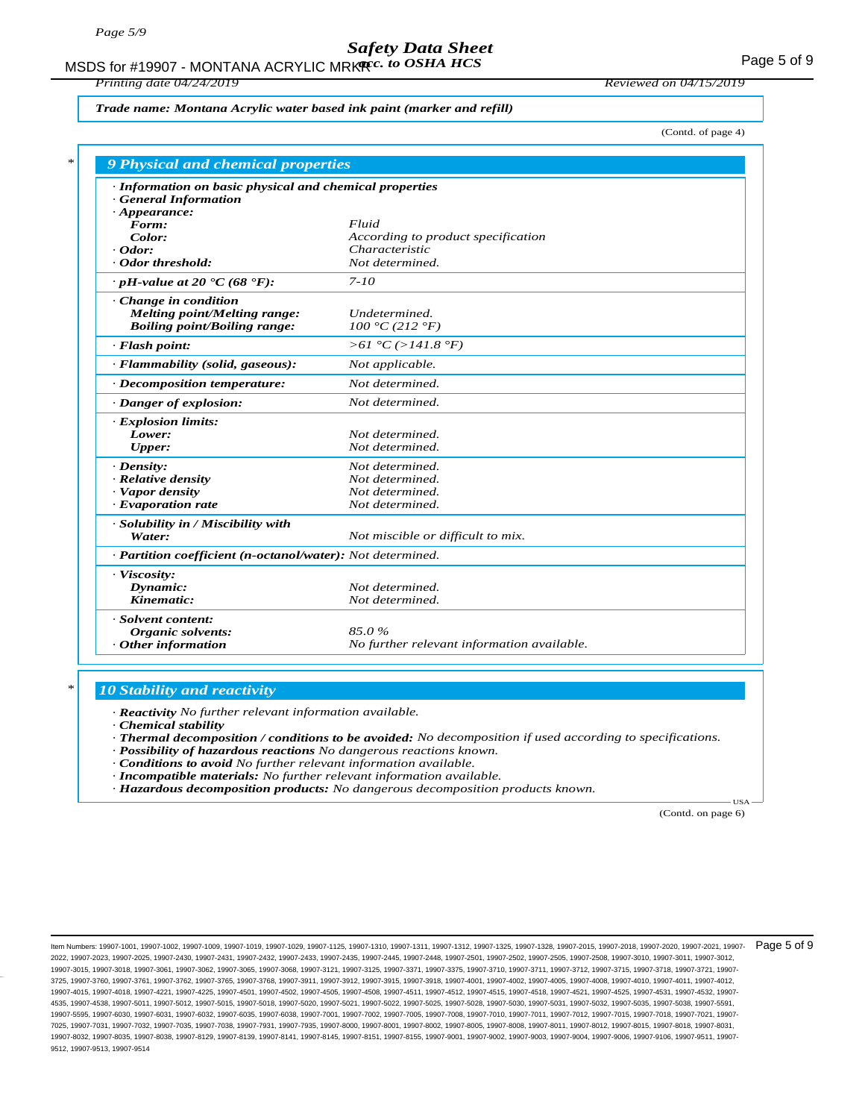MSDS for #19907 - MONTANA ACRYLIC MRK**R**<sub>c</sub>. to OSHA HCS **Access 19 Manual 1999** - Section 1998 1998

*Printing date 04/24/2019 Reviewed on 04/15/2019*

*Trade name: Montana Acrylic water based ink paint (marker and refill)*

(Contd. of page 4)

| · Information on basic physical and chemical properties    |                                            |
|------------------------------------------------------------|--------------------------------------------|
| <b>General Information</b>                                 |                                            |
| $\cdot$ Appearance:                                        |                                            |
| Form:                                                      | Fluid                                      |
| Color:                                                     | According to product specification         |
| $\cdot$ Odor:                                              | Characteristic                             |
| Odor threshold:                                            | Not determined.                            |
| $\cdot$ pH-value at 20 $\text{°C}$ (68 $\text{°F}$ ):      | $7 - 10$                                   |
| Change in condition                                        |                                            |
| <b>Melting point/Melting range:</b>                        | Undetermined.                              |
| <b>Boiling point/Boiling range:</b>                        | 100 °C (212 °F)                            |
| · Flash point:                                             | >61 °C (>141.8 °F)                         |
| · Flammability (solid, gaseous):                           | Not applicable.                            |
| · Decomposition temperature:                               | Not determined.                            |
| · Danger of explosion:                                     | Not determined.                            |
| · Explosion limits:                                        |                                            |
| Lower:                                                     | Not determined.                            |
| <b>Upper:</b>                                              | Not determined.                            |
| $\cdot$ Density:                                           | Not determined.                            |
| · Relative density                                         | Not determined.                            |
| · Vapor density                                            | Not determined.                            |
| · Evaporation rate                                         | Not determined.                            |
| · Solubility in / Miscibility with                         |                                            |
| Water:                                                     | Not miscible or difficult to mix.          |
| · Partition coefficient (n-octanol/water): Not determined. |                                            |
| · Viscosity:                                               |                                            |
| Dynamic:                                                   | Not determined.                            |
| Kinematic:                                                 | Not determined.                            |
| · Solvent content:                                         |                                            |
| Organic solvents:                                          | 85.0%                                      |
| Other information                                          | No further relevant information available. |

### *\* 10 Stability and reactivity*

*· Reactivity No further relevant information available.*

*· Chemical stability*

- *· Thermal decomposition / conditions to be avoided: No decomposition if used according to specifications.*
- *· Possibility of hazardous reactions No dangerous reactions known.*

*· Conditions to avoid No further relevant information available.*

- *· Incompatible materials: No further relevant information available.*
- *· Hazardous decomposition products: No dangerous decomposition products known.*

(Contd. on page 6)

USA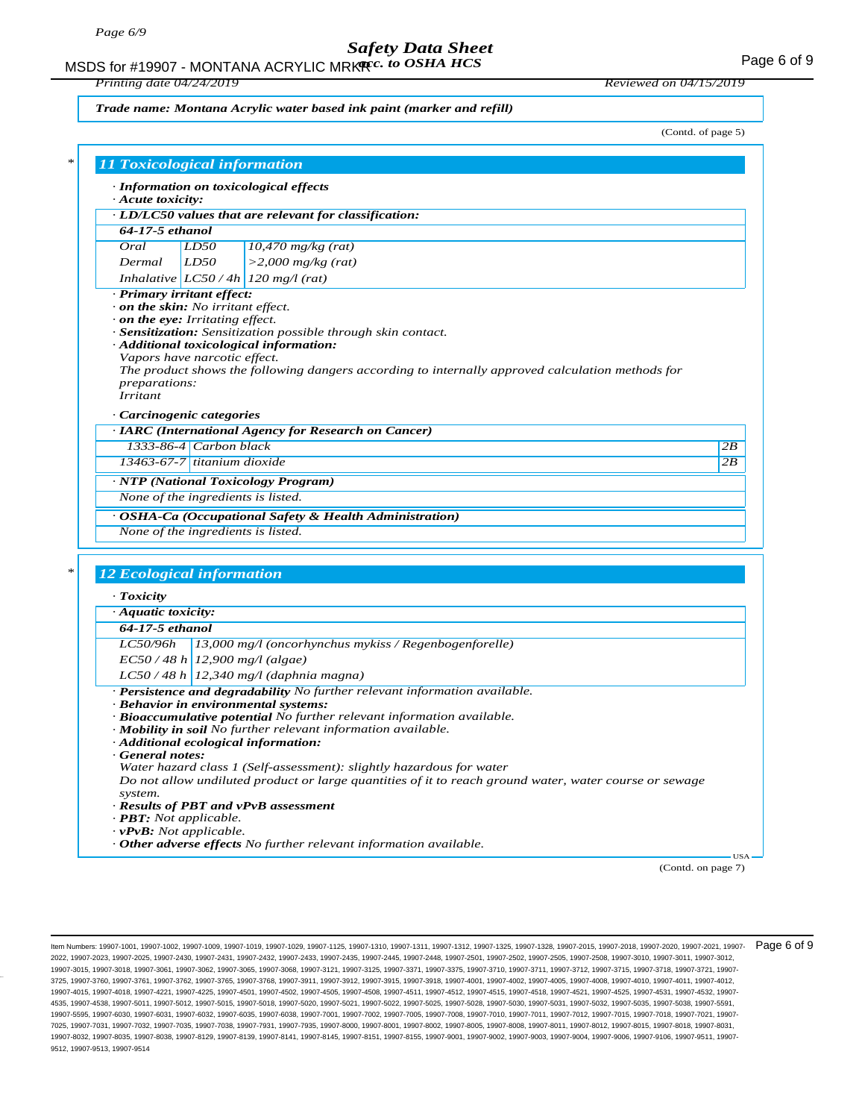MSDS for #19907 - MONTANA ACRYLIC MRK**R**<sub>c</sub>. to OSHA HCS **Acceleration of the CALC Page 6 of 9** 

*Printing date 04/24/2019 Reviewed on 04/15/2019*

*Trade name: Montana Acrylic water based ink paint (marker and refill)*

(Contd. of page 5)

| $\cdot$ Acute toxicity:                                                     |                              | · Information on toxicological effects                                                                                                  |    |
|-----------------------------------------------------------------------------|------------------------------|-----------------------------------------------------------------------------------------------------------------------------------------|----|
|                                                                             |                              | · LD/LC50 values that are relevant for classification:                                                                                  |    |
| 64-17-5 ethanol                                                             |                              |                                                                                                                                         |    |
| Oral                                                                        | LD50                         | $10,470$ mg/kg (rat)                                                                                                                    |    |
| Dermal                                                                      | LD50                         | $>$ 2,000 mg/kg (rat)                                                                                                                   |    |
|                                                                             |                              | Inhalative $ LCS0/4h $ 120 mg/l (rat)                                                                                                   |    |
| · Primary irritant effect:                                                  |                              |                                                                                                                                         |    |
| on the skin: No irritant effect.                                            |                              |                                                                                                                                         |    |
| $\cdot$ on the eye: Irritating effect.                                      |                              |                                                                                                                                         |    |
|                                                                             |                              | <b>Sensitization:</b> Sensitization possible through skin contact.                                                                      |    |
|                                                                             |                              | · Additional toxicological information:                                                                                                 |    |
|                                                                             | Vapors have narcotic effect. |                                                                                                                                         |    |
|                                                                             |                              | The product shows the following dangers according to internally approved calculation methods for                                        |    |
| <i>preparations:</i><br><b>Irritant</b>                                     |                              |                                                                                                                                         |    |
|                                                                             |                              |                                                                                                                                         |    |
| · Carcinogenic categories                                                   |                              |                                                                                                                                         |    |
|                                                                             | 1333-86-4 Carbon black       | · IARC (International Agency for Research on Cancer)                                                                                    |    |
|                                                                             |                              |                                                                                                                                         | 2B |
| $13463-67-7$ titanium dioxide                                               |                              |                                                                                                                                         | 2B |
|                                                                             |                              | · NTP (National Toxicology Program)                                                                                                     |    |
| None of the ingredients is listed.                                          |                              |                                                                                                                                         |    |
|                                                                             |                              |                                                                                                                                         |    |
|                                                                             |                              | · OSHA-Ca (Occupational Safety & Health Administration)                                                                                 |    |
| None of the ingredients is listed.                                          |                              |                                                                                                                                         |    |
|                                                                             |                              |                                                                                                                                         |    |
|                                                                             |                              |                                                                                                                                         |    |
| <b>12 Ecological information</b>                                            |                              |                                                                                                                                         |    |
| $\cdot$ Toxicity                                                            |                              |                                                                                                                                         |    |
| $\cdot$ Aquatic toxicity:                                                   |                              |                                                                                                                                         |    |
| 64-17-5 ethanol                                                             |                              |                                                                                                                                         |    |
|                                                                             |                              |                                                                                                                                         |    |
| LC50/96h                                                                    |                              | 13,000 mg/l (oncorhynchus mykiss / Regenbogenforelle)                                                                                   |    |
|                                                                             |                              | $EC50/48 h$ 12,900 mg/l (algae)                                                                                                         |    |
|                                                                             |                              | $LC50/48 h$ 12,340 mg/l (daphnia magna)                                                                                                 |    |
|                                                                             |                              | $\cdot$ Persistence and degradability No further relevant information available.                                                        |    |
|                                                                             |                              | · Behavior in environmental systems:                                                                                                    |    |
|                                                                             |                              | · Bioaccumulative potential No further relevant information available.<br>· Mobility in soil No further relevant information available. |    |
|                                                                             |                              | · Additional ecological information:                                                                                                    |    |
| General notes:                                                              |                              |                                                                                                                                         |    |
|                                                                             |                              | Water hazard class 1 (Self-assessment): slightly hazardous for water                                                                    |    |
|                                                                             |                              | Do not allow undiluted product or large quantities of it to reach ground water, water course or sewage                                  |    |
| system.                                                                     |                              |                                                                                                                                         |    |
|                                                                             |                              | · Results of PBT and vPvB assessment                                                                                                    |    |
| $\cdot$ <b>PBT:</b> Not applicable.<br>$\cdot$ <b>vPvB:</b> Not applicable. |                              |                                                                                                                                         |    |

(Contd. on page 7)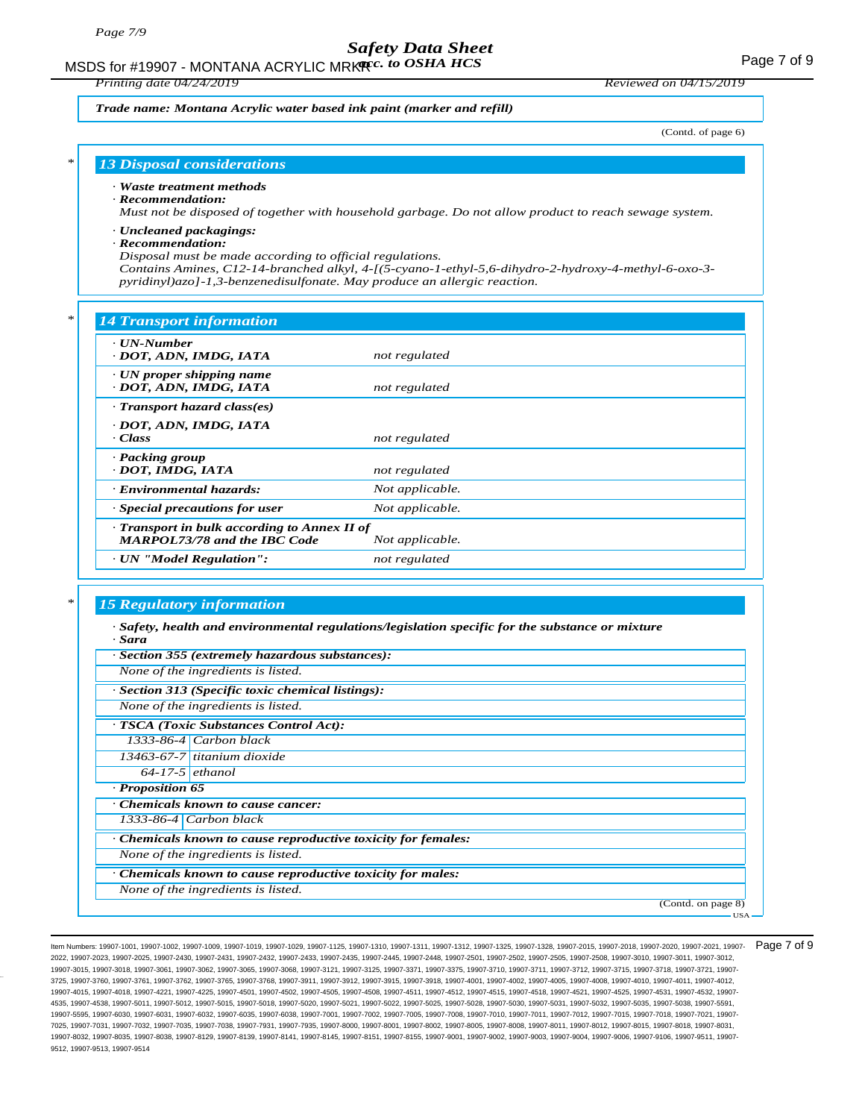MSDS for #19907 - MONTANA ACRYLIC MRK**R**<sub>c</sub>. to OSHA HCS **Acceleration of the CALC Page 7** of 9

*Printing date 04/24/2019 Reviewed on 04/15/2019*

#### *Trade name: Montana Acrylic water based ink paint (marker and refill)*

(Contd. of page 6)

### *\* 13 Disposal considerations*

#### *· Waste treatment methods*

#### *· Recommendation:*

*Must not be disposed of together with household garbage. Do not allow product to reach sewage system.*

#### *· Uncleaned packagings:*

#### *· Recommendation:*

*Disposal must be made according to official regulations.*

*Contains Amines, C12-14-branched alkyl, 4-[(5-cyano-1-ethyl-5,6-dihydro-2-hydroxy-4-methyl-6-oxo-3 pyridinyl)azo]-1,3-benzenedisulfonate. May produce an allergic reaction.*

### *\* 14 Transport information*

| $\cdots$ runsport mpormument                                                      |                 |
|-----------------------------------------------------------------------------------|-----------------|
| · UN-Number<br>· DOT, ADN, IMDG, IATA                                             | not regulated   |
| $\cdot$ UN proper shipping name<br>· DOT, ADN, IMDG, IATA                         | not regulated   |
| $\cdot$ Transport hazard class(es)                                                |                 |
| DOT, ADN, IMDG, IATA<br>$\cdot Class$                                             | not regulated   |
| · Packing group<br>· DOT, IMDG, IATA                                              | not regulated   |
| <b>Environmental hazards:</b>                                                     | Not applicable. |
| $\cdot$ Special precautions for user                                              | Not applicable. |
| Transport in bulk according to Annex II of<br><b>MARPOL73/78 and the IBC Code</b> | Not applicable. |
| · UN "Model Regulation":                                                          | not regulated   |
|                                                                                   |                 |

### *\* 15 Regulatory information*

| $\cdot$ Safety, health and environmental regulations/legislation specific for the substance or mixture<br>· Sara |
|------------------------------------------------------------------------------------------------------------------|
| · Section 355 (extremely hazardous substances):                                                                  |
| None of the ingredients is listed.                                                                               |
| · Section 313 (Specific toxic chemical listings):                                                                |
| None of the ingredients is listed.                                                                               |
| · TSCA (Toxic Substances Control Act):                                                                           |
| $1333-86-4$ Carbon black                                                                                         |
| 13463-67-7 titanium dioxide                                                                                      |
| $64-17-5$ ethanol                                                                                                |
| · Proposition 65                                                                                                 |
| Chemicals known to cause cancer:                                                                                 |
| 1333-86-4 Carbon black                                                                                           |
| Chemicals known to cause reproductive toxicity for females:                                                      |
| None of the ingredients is listed.                                                                               |
| Chemicals known to cause reproductive toxicity for males:                                                        |
| None of the ingredients is listed.                                                                               |
| (Contd. on page 8)                                                                                               |
| <b>USA</b>                                                                                                       |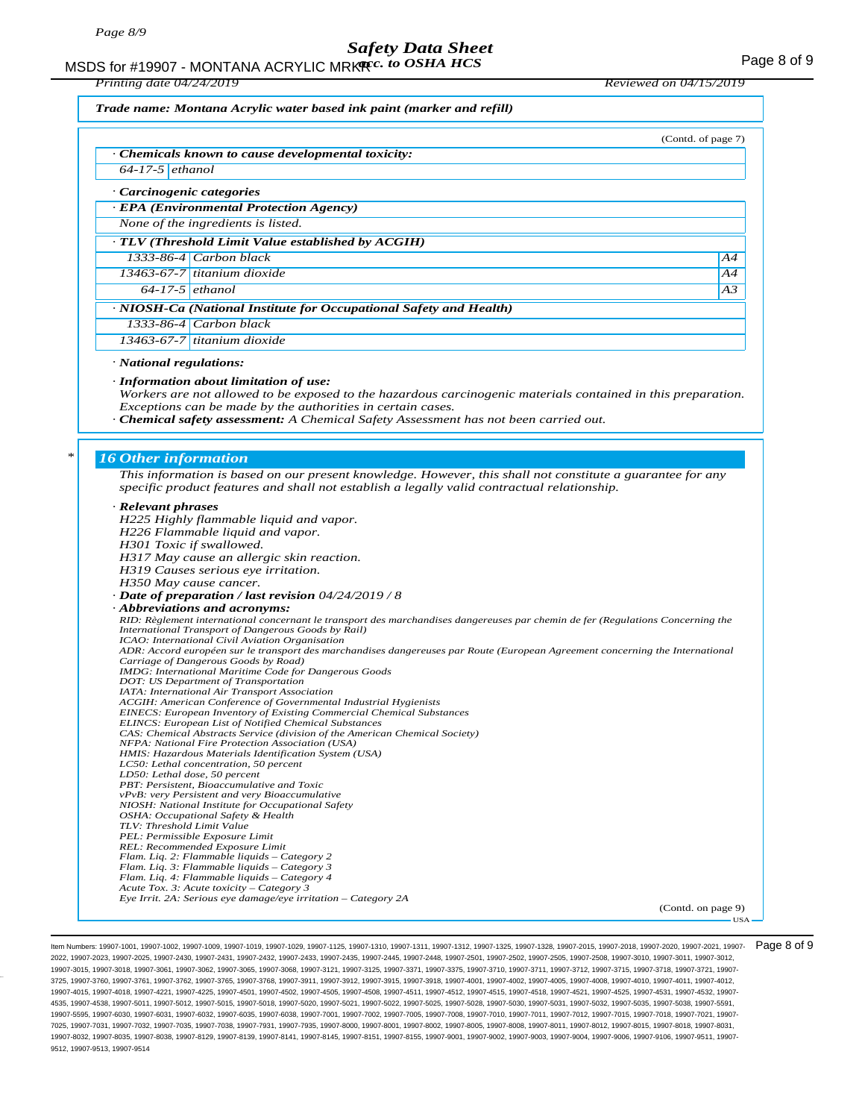MSDS for #19907 - MONTANA ACRYLIC MRK**R**<sub>c</sub>. to OSHA HCS **Acceleration of the CALC Page 8 of 9** 

*Printing date 04/24/2019 Reviewed on 04/15/2019*

*Trade name: Montana Acrylic water based ink paint (marker and refill)*

|                             | (Contd. of page 7)                                                                                                                                                                                        |    |
|-----------------------------|-----------------------------------------------------------------------------------------------------------------------------------------------------------------------------------------------------------|----|
|                             | Chemicals known to cause developmental toxicity:                                                                                                                                                          |    |
| $64-17-5$ ethanol           |                                                                                                                                                                                                           |    |
| Carcinogenic categories     |                                                                                                                                                                                                           |    |
|                             | · EPA (Environmental Protection Agency)                                                                                                                                                                   |    |
|                             | None of the ingredients is listed.                                                                                                                                                                        |    |
|                             | $\cdot$ TLV (Threshold Limit Value established by ACGIH)                                                                                                                                                  |    |
|                             | 1333-86-4 Carbon black                                                                                                                                                                                    | A4 |
|                             | $13463-67-7$ titanium dioxide                                                                                                                                                                             | A4 |
| $64-17-5$ ethanol           |                                                                                                                                                                                                           | A3 |
|                             | · NIOSH-Ca (National Institute for Occupational Safety and Health)                                                                                                                                        |    |
|                             | $1333-86-4$ Carbon black                                                                                                                                                                                  |    |
|                             | $13463-67-7$ titanium dioxide                                                                                                                                                                             |    |
| · National regulations:     | · Information about limitation of use:<br>Workers are not allowed to be exposed to the hazardous carcinogenic materials contained in this preparation.                                                    |    |
|                             | Exceptions can be made by the authorities in certain cases.<br>· Chemical safety assessment: A Chemical Safety Assessment has not been carried out.                                                       |    |
| <b>16 Other information</b> |                                                                                                                                                                                                           |    |
|                             | This information is based on our present knowledge. However, this shall not constitute a guarantee for any<br>specific product features and shall not establish a legally valid contractual relationship. |    |
| · Relevant phrases          |                                                                                                                                                                                                           |    |
|                             | H225 Highly flammable liquid and vapor.                                                                                                                                                                   |    |
|                             | H226 Flammable liquid and vapor.                                                                                                                                                                          |    |
|                             | H301 Toxic if swallowed.<br>H317 May cause an allergic skin reaction.                                                                                                                                     |    |
|                             | H319 Causes serious eye irritation.                                                                                                                                                                       |    |
|                             | H350 May cause cancer.                                                                                                                                                                                    |    |
|                             | $\cdot$ Date of preparation / last revision 04/24/2019 / 8<br>· Abbreviations and acronyms:                                                                                                               |    |

*International Transport of Dangerous Goods by Rail) ICAO: International Civil Aviation Organisation ADR: Accord européen sur le transport des marchandises dangereuses par Route (European Agreement concerning the International Carriage of Dangerous Goods by Road) IMDG: International Maritime Code for Dangerous Goods DOT: US Department of Transportation IATA: International Air Transport Association ACGIH: American Conference of Governmental Industrial Hygienists EINECS: European Inventory of Existing Commercial Chemical Substances ELINCS: European List of Notified Chemical Substances CAS: Chemical Abstracts Service (division of the American Chemical Society) NFPA: National Fire Protection Association (USA) HMIS: Hazardous Materials Identification System (USA) LC50: Lethal concentration, 50 percent LD50: Lethal dose, 50 percent PBT: Persistent, Bioaccumulative and Toxic vPvB: very Persistent and very Bioaccumulative NIOSH: National Institute for Occupational Safety OSHA: Occupational Safety & Health TLV: Threshold Limit Value PEL: Permissible Exposure Limit REL: Recommended Exposure Limit Flam. Liq. 2: Flammable liquids – Category 2 Flam. Liq. 3: Flammable liquids – Category 3 Flam. Liq. 4: Flammable liquids – Category 4 Acute Tox. 3: Acute toxicity – Category 3 Eye Irrit. 2A: Serious eye damage/eye irritation – Category 2A*

(Contd. on page 9)

USA